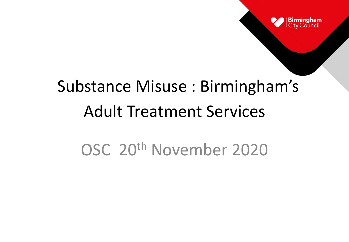

# Substance Misuse : Birmingham's Adult Treatment Services

#### OSC 20th November 2020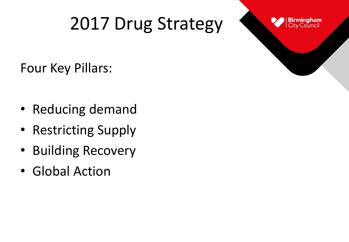## 2017 Drug Strategy



Four Key Pillars:

- Reducing demand
- Restricting Supply
- Building Recovery
- Global Action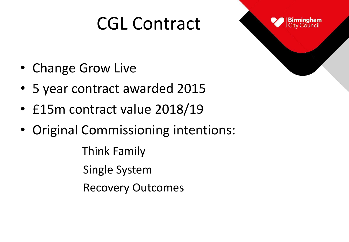### CGL Contract



- Change Grow Live
- 5 year contract awarded 2015
- £15m contract value 2018/19
- Original Commissioning intentions:

Think Family Single System Recovery Outcomes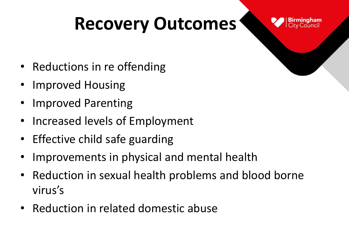## **Recovery Outcomes**



- Reductions in re offending
- Improved Housing
- Improved Parenting
- Increased levels of Employment
- Effective child safe guarding
- Improvements in physical and mental health
- Reduction in sexual health problems and blood borne virus͛s
- Reduction in related domestic abuse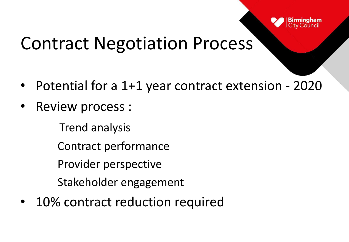

#### Contract Negotiation Process

- Potential for a 1+1 year contract extension 2020
- Review process :
	- Trend analysis
	- Contract performance
	- Provider perspective
	- Stakeholder engagement
- 10% contract reduction required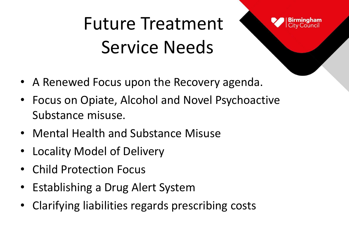Future Treatment Service Needs



- A Renewed Focus upon the Recovery agenda.
- Focus on Opiate, Alcohol and Novel Psychoactive Substance misuse.
- Mental Health and Substance Misuse
- Locality Model of Delivery
- Child Protection Focus
- Establishing a Drug Alert System
- Clarifying liabilities regards prescribing costs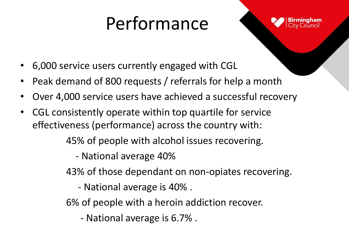## Performance

- 6,000 service users currently engaged with CGL
- Peak demand of 800 requests / referrals for help a month
- Over 4,000 service users have achieved a successful recovery
- CGL consistently operate within top quartile for service effectiveness (performance) across the country with:

45% of people with alcohol issues recovering.

- National average 40%

43% of those dependant on non-opiates recovering.

- National average is 40% .

6% of people with a heroin addiction recover.

- National average is 6.7% .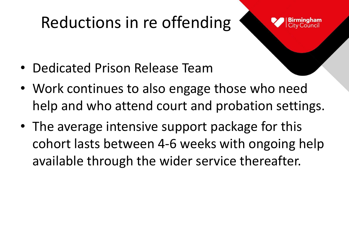#### Reductions in re offending



- Dedicated Prison Release Team
- Work continues to also engage those who need help and who attend court and probation settings.
- The average intensive support package for this cohort lasts between 4-6 weeks with ongoing help available through the wider service thereafter.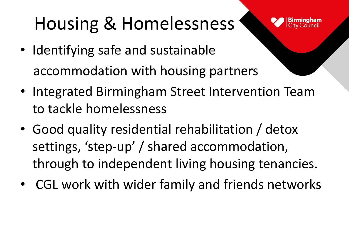## Housing & Homelessness



- Identifying safe and sustainable accommodation with housing partners
- Integrated Birmingham Street Intervention Team to tackle homelessness
- Good quality residential rehabilitation / detox settings, 'step-up' / shared accommodation, through to independent living housing tenancies.
- CGL work with wider family and friends networks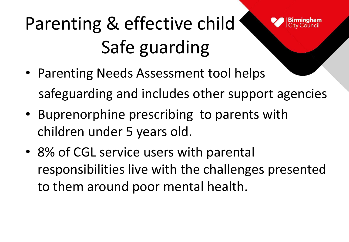# Parenting & effective child Safe guarding

- Parenting Needs Assessment tool helps safeguarding and includes other support agencies
- Buprenorphine prescribing to parents with children under 5 years old.
- 8% of CGL service users with parental responsibilities live with the challenges presented to them around poor mental health.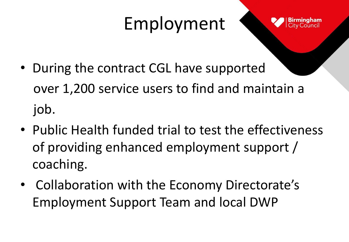## Employment



- During the contract CGL have supported over 1,200 service users to find and maintain a job.
- Public Health funded trial to test the effectiveness of providing enhanced employment support / coaching.
- Collaboration with the Economy Directorate's Employment Support Team and local DWP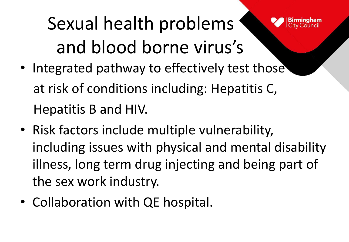Sexual health problems and blood borne virus's

- Integrated pathway to effectively test those at risk of conditions including: Hepatitis C, Hepatitis B and HIV.
- Risk factors include multiple vulnerability, including issues with physical and mental disability illness, long term drug injecting and being part of the sex work industry.
- Collaboration with QE hospital.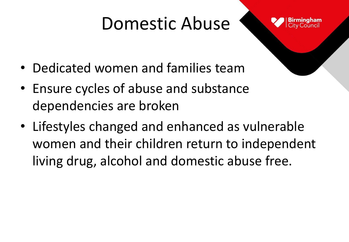### Domestic Abuse



- Dedicated women and families team
- Ensure cycles of abuse and substance dependencies are broken
- Lifestyles changed and enhanced as vulnerable women and their children return to independent living drug, alcohol and domestic abuse free.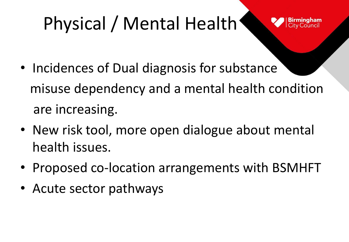## Physical / Mental Health

- Incidences of Dual diagnosis for substance misuse dependency and a mental health condition are increasing.
- New risk tool, more open dialogue about mental health issues.
- Proposed co-location arrangements with BSMHFT
- Acute sector pathways